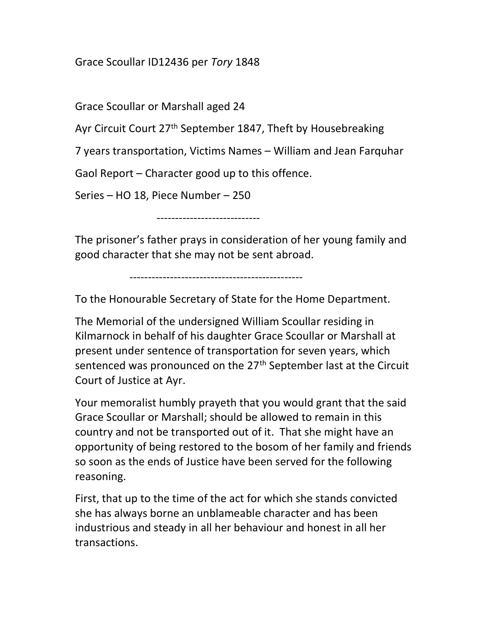## Grace Scoullar ID12436 per Tory 1848

Grace Scoullar or Marshall aged 24

Ayr Circuit Court 27<sup>th</sup> September 1847, Theft by Housebreaking

7 years transportation, Victims Names – William and Jean Farquhar

Gaol Report – Character good up to this offence.

Series – HO 18, Piece Number – 250

----------------------------

The prisoner's father prays in consideration of her young family and good character that she may not be sent abroad.

-----------------------------------------------

To the Honourable Secretary of State for the Home Department.

The Memorial of the undersigned William Scoullar residing in Kilmarnock in behalf of his daughter Grace Scoullar or Marshall at present under sentence of transportation for seven years, which sentenced was pronounced on the 27<sup>th</sup> September last at the Circuit Court of Justice at Ayr.

Your memoralist humbly prayeth that you would grant that the said Grace Scoullar or Marshall; should be allowed to remain in this country and not be transported out of it. That she might have an opportunity of being restored to the bosom of her family and friends so soon as the ends of Justice have been served for the following reasoning.

First, that up to the time of the act for which she stands convicted she has always borne an unblameable character and has been industrious and steady in all her behaviour and honest in all her transactions.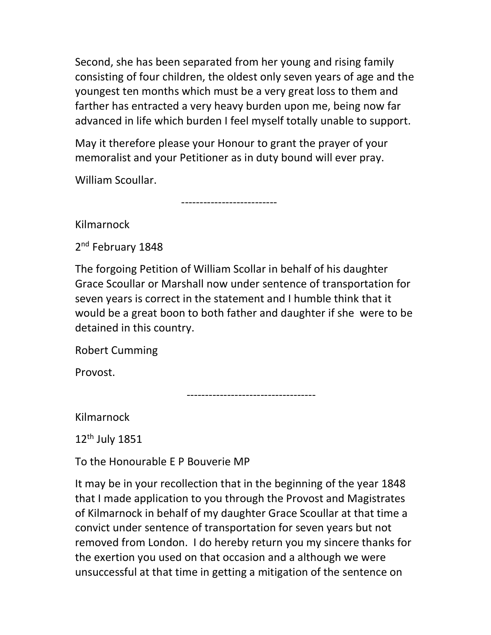Second, she has been separated from her young and rising family consisting of four children, the oldest only seven years of age and the youngest ten months which must be a very great loss to them and farther has entracted a very heavy burden upon me, being now far advanced in life which burden I feel myself totally unable to support.

May it therefore please your Honour to grant the prayer of your memoralist and your Petitioner as in duty bound will ever pray.

--------------------------

William Scoullar.

Kilmarnock

2<sup>nd</sup> February 1848

The forgoing Petition of William Scollar in behalf of his daughter Grace Scoullar or Marshall now under sentence of transportation for seven years is correct in the statement and I humble think that it would be a great boon to both father and daughter if she were to be detained in this country.

Robert Cumming

Provost.

-----------------------------------

Kilmarnock

12th July 1851

To the Honourable E P Bouverie MP

It may be in your recollection that in the beginning of the year 1848 that I made application to you through the Provost and Magistrates of Kilmarnock in behalf of my daughter Grace Scoullar at that time a convict under sentence of transportation for seven years but not removed from London. I do hereby return you my sincere thanks for the exertion you used on that occasion and a although we were unsuccessful at that time in getting a mitigation of the sentence on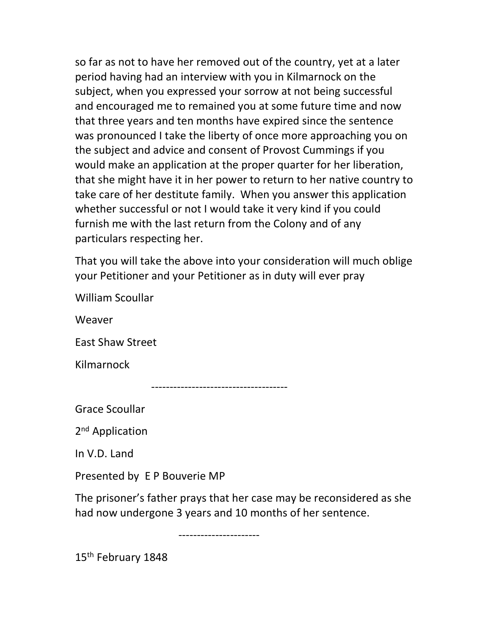so far as not to have her removed out of the country, yet at a later period having had an interview with you in Kilmarnock on the subject, when you expressed your sorrow at not being successful and encouraged me to remained you at some future time and now that three years and ten months have expired since the sentence was pronounced I take the liberty of once more approaching you on the subject and advice and consent of Provost Cummings if you would make an application at the proper quarter for her liberation, that she might have it in her power to return to her native country to take care of her destitute family. When you answer this application whether successful or not I would take it very kind if you could furnish me with the last return from the Colony and of any particulars respecting her.

That you will take the above into your consideration will much oblige your Petitioner and your Petitioner as in duty will ever pray

William Scoullar

Weaver

East Shaw Street

Kilmarnock

-------------------------------------

Grace Scoullar

2<sup>nd</sup> Application

In V.D. Land

Presented by E P Bouverie MP

The prisoner's father prays that her case may be reconsidered as she had now undergone 3 years and 10 months of her sentence.

----------------------

15th February 1848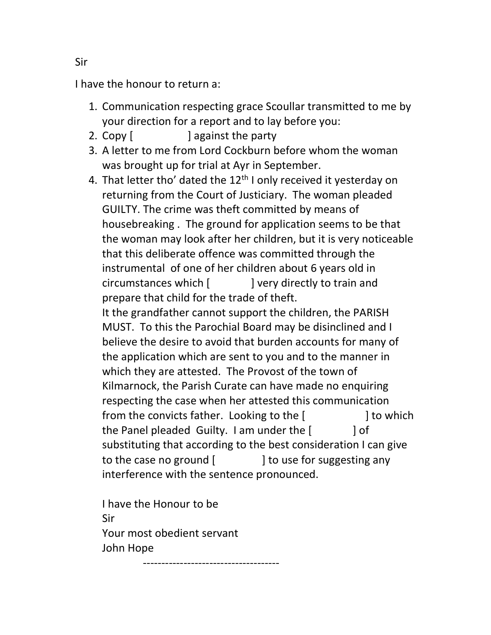I have the honour to return a:

- 1. Communication respecting grace Scoullar transmitted to me by your direction for a report and to lay before you:
- 2. Copy [ ] against the party
- 3. A letter to me from Lord Cockburn before whom the woman was brought up for trial at Ayr in September.
- 4. That letter tho' dated the  $12<sup>th</sup>$  I only received it yesterday on returning from the Court of Justiciary. The woman pleaded GUILTY. The crime was theft committed by means of housebreaking . The ground for application seems to be that the woman may look after her children, but it is very noticeable that this deliberate offence was committed through the instrumental of one of her children about 6 years old in circumstances which [ ] very directly to train and prepare that child for the trade of theft. It the grandfather cannot support the children, the PARISH MUST. To this the Parochial Board may be disinclined and I believe the desire to avoid that burden accounts for many of the application which are sent to you and to the manner in which they are attested. The Provost of the town of Kilmarnock, the Parish Curate can have made no enquiring respecting the case when her attested this communication from the convicts father. Looking to the [ ] to which the Panel pleaded Guilty. I am under the  $[$   $]$  of substituting that according to the best consideration I can give to the case no ground  $\begin{bmatrix} 1 & 1 \end{bmatrix}$  to use for suggesting any interference with the sentence pronounced.

I have the Honour to be Sir Your most obedient servant John Hope

-------------------------------------

Sir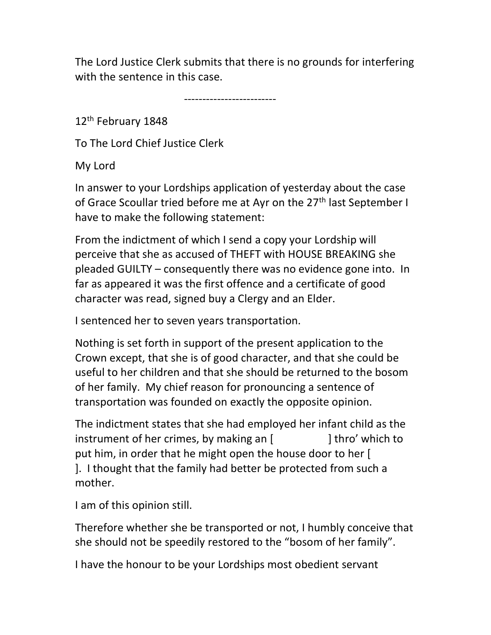The Lord Justice Clerk submits that there is no grounds for interfering with the sentence in this case.

-------------------------

12<sup>th</sup> February 1848

To The Lord Chief Justice Clerk

My Lord

In answer to your Lordships application of yesterday about the case of Grace Scoullar tried before me at Ayr on the 27<sup>th</sup> last September I have to make the following statement:

From the indictment of which I send a copy your Lordship will perceive that she as accused of THEFT with HOUSE BREAKING she pleaded GUILTY – consequently there was no evidence gone into. In far as appeared it was the first offence and a certificate of good character was read, signed buy a Clergy and an Elder.

I sentenced her to seven years transportation.

Nothing is set forth in support of the present application to the Crown except, that she is of good character, and that she could be useful to her children and that she should be returned to the bosom of her family. My chief reason for pronouncing a sentence of transportation was founded on exactly the opposite opinion.

The indictment states that she had employed her infant child as the instrument of her crimes, by making an [ ] thro' which to put him, in order that he might open the house door to her [ ]. I thought that the family had better be protected from such a mother.

I am of this opinion still.

Therefore whether she be transported or not, I humbly conceive that she should not be speedily restored to the "bosom of her family".

I have the honour to be your Lordships most obedient servant